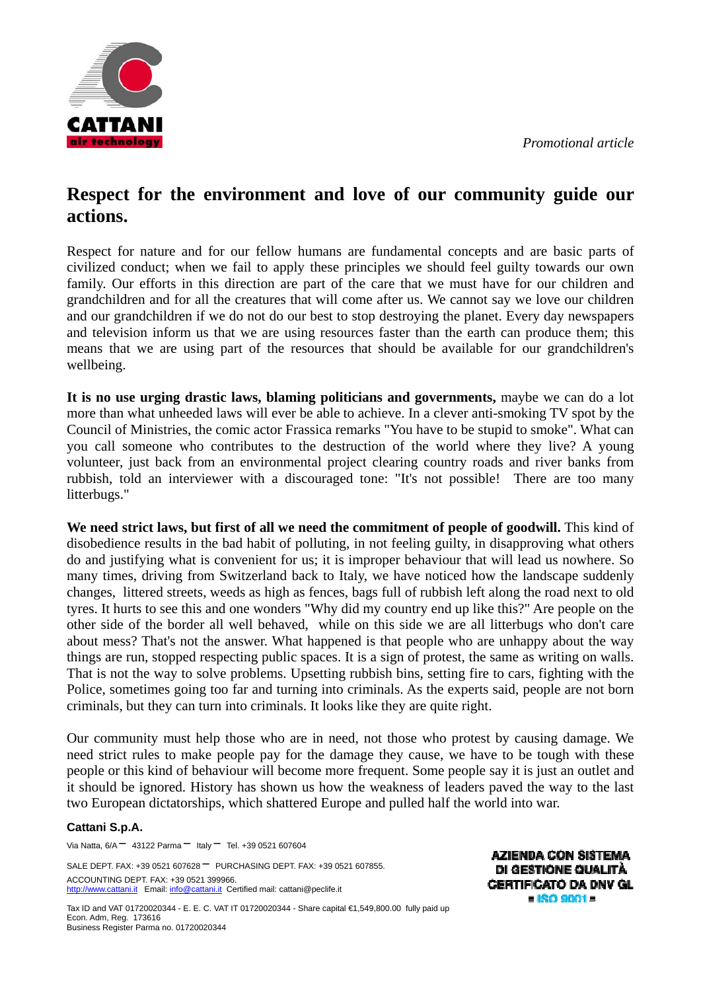*Promotional article*



## **Respect for the environment and love of our community guide our actions.**

Respect for nature and for our fellow humans are fundamental concepts and are basic parts of civilized conduct; when we fail to apply these principles we should feel guilty towards our own family. Our efforts in this direction are part of the care that we must have for our children and grandchildren and for all the creatures that will come after us. We cannot say we love our children and our grandchildren if we do not do our best to stop destroying the planet. Every day newspapers and television inform us that we are using resources faster than the earth can produce them; this means that we are using part of the resources that should be available for our grandchildren's wellbeing.

**It is no use urging drastic laws, blaming politicians and governments,** maybe we can do a lot more than what unheeded laws will ever be able to achieve. In a clever anti-smoking TV spot by the Council of Ministries, the comic actor Frassica remarks "You have to be stupid to smoke". What can you call someone who contributes to the destruction of the world where they live? A young volunteer, just back from an environmental project clearing country roads and river banks from rubbish, told an interviewer with a discouraged tone: "It's not possible! There are too many litterbugs."

**We need strict laws, but first of all we need the commitment of people of goodwill.** This kind of disobedience results in the bad habit of polluting, in not feeling guilty, in disapproving what others do and justifying what is convenient for us; it is improper behaviour that will lead us nowhere. So many times, driving from Switzerland back to Italy, we have noticed how the landscape suddenly changes, littered streets, weeds as high as fences, bags full of rubbish left along the road next to old tyres. It hurts to see this and one wonders "Why did my country end up like this?" Are people on the other side of the border all well behaved, while on this side we are all litterbugs who don't care about mess? That's not the answer. What happened is that people who are unhappy about the way things are run, stopped respecting public spaces. It is a sign of protest, the same as writing on walls. That is not the way to solve problems. Upsetting rubbish bins, setting fire to cars, fighting with the Police, sometimes going too far and turning into criminals. As the experts said, people are not born criminals, but they can turn into criminals. It looks like they are quite right.

Our community must help those who are in need, not those who protest by causing damage. We need strict rules to make people pay for the damage they cause, we have to be tough with these people or this kind of behaviour will become more frequent. Some people say it is just an outlet and it should be ignored. History has shown us how the weakness of leaders paved the way to the last two European dictatorships, which shattered Europe and pulled half the world into war.

## **Cattani S.p.A.**

Via Natta,  $6/A - 43122$  Parma  $-$  Italy  $-$  Tel. +39 0521 607604

SALE DEPT. FAX: +39 0521 607628 <sup>-</sup> PURCHASING DEPT. FAX: +39 0521 607855. ACCOUNTING DEPT. FAX: +39 0521 399966. http://www.cattani.it Email: info@cattani.it Certified mail: cattani@peclife.it

Tax ID and VAT 01720020344 - E. E. C. VAT IT 01720020344 - Share capital €1,549,800.00 fully paid up Econ. Adm, Reg. 173616 Business Register Parma no. 01720020344

**AZIENDA CON SISTEMA** DI GESTIONE QUALITÀ **CERTIFICATO DA DNV GL**  $= 180.9001 =$